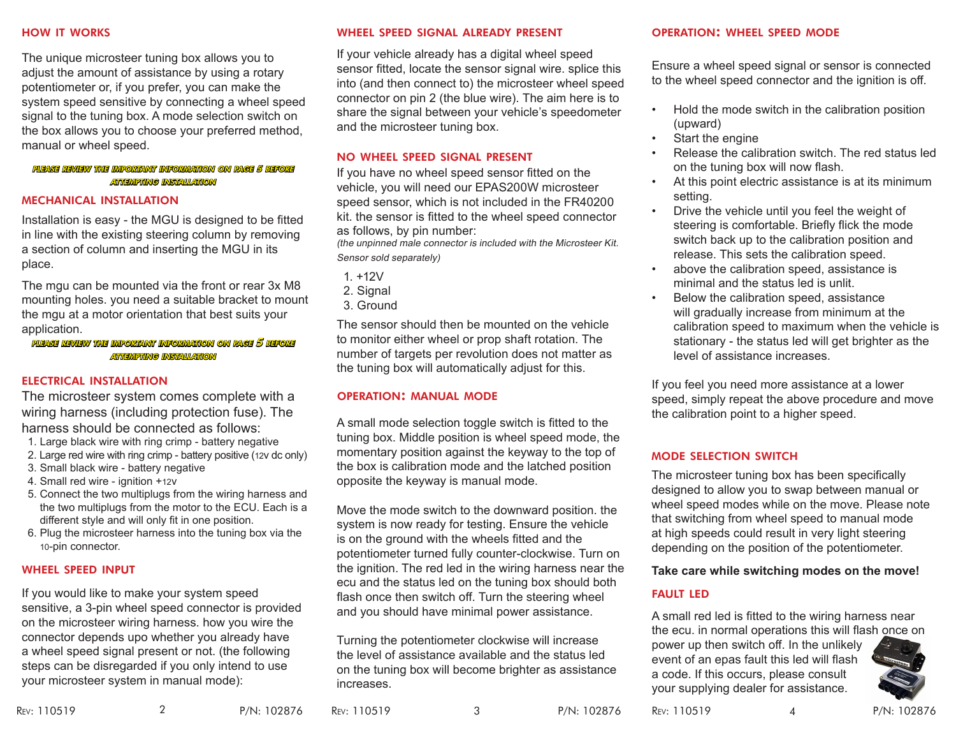The unique microsteer tuning box allows you to adjust the amount of assistance by using a rotary potentiometer or, if you prefer, you can make the system speed sensitive by connecting a wheel speed signal to the tuning box. A mode selection switch on the box allows you to choose your preferred method, manual or wheel speed.

#### please review the important information on page 5 before attempting installation

#### mechanical installation

Installation is easy - the MGU is designed to be fitted in line with the existing steering column by removing a section of column and inserting the MGU in its place.

The mgu can be mounted via the front or rear 3x M8 mounting holes. you need a suitable bracket to mount the mgu at a motor orientation that best suits your application.

please review the important information on page 5 before attempting installation

#### electrical installation

The microsteer system comes complete with a wiring harness (including protection fuse). The harness should be connected as follows:

- 1. Large black wire with ring crimp battery negative
- 2. Large red wire with ring crimp battery positive (12v dc only)
- 3. Small black wire battery negative
- 4. Small red wire ignition +12v
- 5. Connect the two multiplugs from the wiring harness and the two multiplugs from the motor to the ECU. Each is a different style and will only fit in one position.
- 6. Plug the microsteer harness into the tuning box via the 10-pin connector.

#### wheel speed input

If you would like to make your system speed sensitive, a 3-pin wheel speed connector is provided on the microsteer wiring harness. how you wire the connector depends upo whether you already have a wheel speed signal present or not. (the following steps can be disregarded if you only intend to use your microsteer system in manual mode):

#### how it works wheel speed signal already present

If your vehicle already has a digital wheel speed sensor fitted, locate the sensor signal wire. splice this into (and then connect to) the microsteer wheel speed connector on pin 2 (the blue wire). The aim here is to share the signal between your vehicle's speedometer and the microsteer tuning box.

#### no wheel speed signal present

If you have no wheel speed sensor fitted on the vehicle, you will need our EPAS200W microsteer speed sensor, which is not included in the FR40200 kit. the sensor is fitted to the wheel speed connector as follows, by pin number:

(the unpinned male connector is included with the Microsteer Kit. Sensor sold separately)

- 1. +12V
- 2. Signal
- 3. Ground

The sensor should then be mounted on the vehicle to monitor either wheel or prop shaft rotation. The number of targets per revolution does not matter as the tuning box will automatically adjust for this.

#### operation: manual mode

A small mode selection toggle switch is fitted to the tuning box. Middle position is wheel speed mode, the momentary position against the keyway to the top of the box is calibration mode and the latched position opposite the keyway is manual mode.

Move the mode switch to the downward position. the system is now ready for testing. Ensure the vehicle is on the ground with the wheels fitted and the potentiometer turned fully counter-clockwise. Turn on the ignition. The red led in the wiring harness near the ecu and the status led on the tuning box should both flash once then switch off. Turn the steering wheel and you should have minimal power assistance.

Turning the potentiometer clockwise will increase the level of assistance available and the status led on the tuning box will become brighter as assistance increases.

#### operation: wheel speed mode

Ensure a wheel speed signal or sensor is connected to the wheel speed connector and the ignition is off.

- Hold the mode switch in the calibration position (upward)
- Start the engine
- Release the calibration switch. The red status led on the tuning box will now flash.
- At this point electric assistance is at its minimum setting.
- Drive the vehicle until you feel the weight of steering is comfortable. Briefly flick the mode switch back up to the calibration position and release. This sets the calibration speed.
- above the calibration speed, assistance is minimal and the status led is unlit.
- Below the calibration speed, assistance will gradually increase from minimum at the calibration speed to maximum when the vehicle is stationary - the status led will get brighter as the level of assistance increases.

If you feel you need more assistance at a lower speed, simply repeat the above procedure and move the calibration point to a higher speed.

#### mode selection switch

The microsteer tuning box has been specifically designed to allow you to swap between manual or wheel speed modes while on the move. Please note that switching from wheel speed to manual mode at high speeds could result in very light steering depending on the position of the potentiometer.

#### **Take care while switching modes on the move!**

### fault led

A small red led is fitted to the wiring harness near the ecu. in normal operations this will flash once on

power up then switch off. In the unlikely event of an epas fault this led will flash a code. If this occurs, please consult your supplying dealer for assistance.



Rev: 110519 P/N: 102876 Rev: 110519 P/N: 102876 Rev: 110519 P/N: 102876 2 3 4